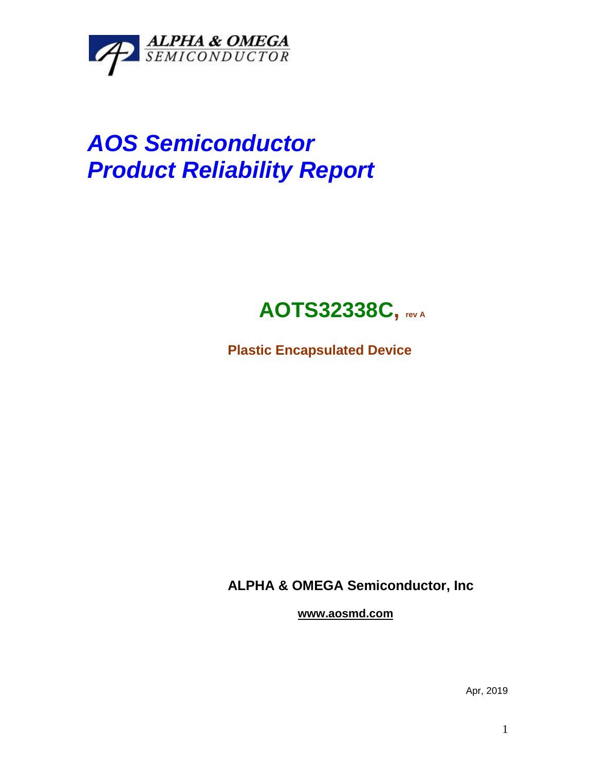

# *AOS Semiconductor Product Reliability Report*

## **AOTS32338C, rev <sup>A</sup>**

**Plastic Encapsulated Device**

**ALPHA & OMEGA Semiconductor, Inc**

**www.aosmd.com**

Apr, 2019